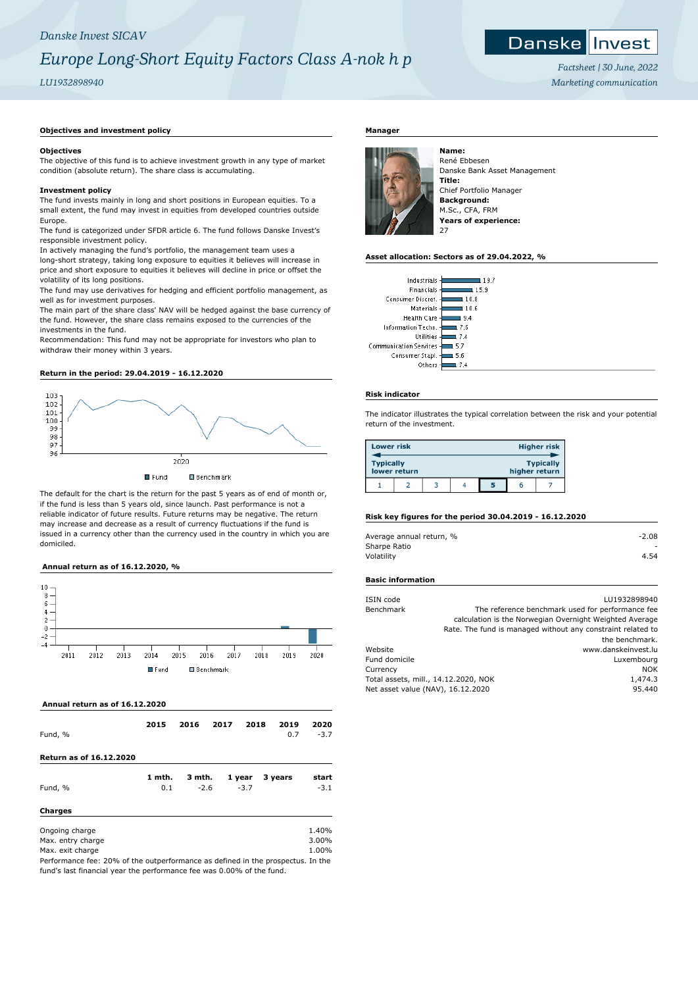# *Danske Invest SICAV*

# *Europe Long-Short Equity Factors Class A-nok h p*

# *LU1932898940*

#### Danske Invest

*Factsheet | 30 June, 2022 Marketing communication*

# **Objectives and investment policy**

# **Objectives**

The objective of this fund is to achieve investment growth in any type of market condition (absolute return). The share class is accumulating.

# **Investment policy**

The fund invests mainly in long and short positions in European equities. To a small extent, the fund may invest in equities from developed countries outside Europe.

The fund is categorized under SFDR article 6. The fund follows Danske Invest's responsible investment policy.

In actively managing the fund's portfolio, the management team uses a long-short strategy, taking long exposure to equities it believes will increase in price and short exposure to equities it believes will decline in price or offset the volatility of its long positions.

The fund may use derivatives for hedging and efficient portfolio management, as well as for investment purposes.

The main part of the share class' NAV will be hedged against the base currency of the fund. However, the share class remains exposed to the currencies of the investments in the fund.

Recommendation: This fund may not be appropriate for investors who plan to withdraw their money within 3 years.

## **Return in the period: 29.04.2019 - 16.12.2020**



The default for the chart is the return for the past 5 years as of end of month or, if the fund is less than 5 years old, since launch. Past performance is not a reliable indicator of future results. Future returns may be negative. The return may increase and decrease as a result of currency fluctuations if the fund is issued in a currency other than the currency used in the country in which you are domiciled.

# **Annual return as of 16.12.2020, %**



 **Annual return as of 16.12.2020**

| Fund, %                                                                         | 2015   | 2016   | 2017 | 2018   | 2019<br>0.7 | 2020<br>$-3.7$ |
|---------------------------------------------------------------------------------|--------|--------|------|--------|-------------|----------------|
| <b>Return as of 16.12.2020</b>                                                  |        |        |      |        |             |                |
|                                                                                 | 1 mth. | 3 mth. |      | 1 year | 3 years     | start          |
| Fund, %                                                                         | 0.1    | $-2.6$ |      | $-3.7$ |             | $-3.1$         |
| <b>Charges</b>                                                                  |        |        |      |        |             |                |
| Ongoing charge                                                                  |        |        |      |        |             | 1.40%          |
| Max. entry charge                                                               |        |        |      |        |             | 3.00%          |
| Max. exit charge                                                                |        |        |      |        |             | 1.00%          |
| Performance fee: 20% of the outperformance as defined in the prospectus. In the |        |        |      |        |             |                |

fund's last financial year the performance fee was 0.00% of the fund.

# **Manager**



René Ebbesen Danske Bank Asset Management **Title:** Chief Portfolio Manager **Background:** M.Sc., CFA, FRM **Years of experience:**

# **Asset allocation: Sectors as of 29.04.2022, %**

| Industrials                     |
|---------------------------------|
| Financials<br>15.9              |
| Consumer Discret.<br>10.8       |
| Materials<br>10.6               |
| Health Care<br>l 9.4            |
| Information Techn.<br>1 7 K     |
| Utilities<br>$-7.4$             |
| Communication Services -<br>5.7 |
| Consumer Stapl.<br>56           |
| Others<br>7.4                   |

## **Risk indicator**

 $\overline{\mathbf{1}}$ 

The indicator illustrates the typical correlation between the risk and your potential return of the investment.

| <b>Lower risk</b> |              |  |   |               | <b>Higher risk</b> |
|-------------------|--------------|--|---|---------------|--------------------|
| <b>Typically</b>  | lower return |  |   | higher return | <b>Typically</b>   |
|                   |              |  | 5 | n             |                    |

## **Risk key figures for the period 30.04.2019 - 16.12.2020**

| Average annual return, % | $-2.08$ |
|--------------------------|---------|
| Sharpe Ratio             |         |
| Volatility               | 4.54    |

#### **Basic information**

| ISIN code                            |  | LU1932898940                                                |
|--------------------------------------|--|-------------------------------------------------------------|
| Benchmark                            |  | The reference benchmark used for performance fee            |
|                                      |  | calculation is the Norwegian Overnight Weighted Average     |
|                                      |  | Rate. The fund is managed without any constraint related to |
|                                      |  | the benchmark.                                              |
| Website                              |  | www.danskeinvest.lu                                         |
| Fund domicile                        |  | Luxembourg                                                  |
| Currency                             |  | <b>NOK</b>                                                  |
| Total assets, mill., 14.12.2020, NOK |  | 1,474.3                                                     |
| Net asset value (NAV), 16.12.2020    |  | 95.440                                                      |
|                                      |  |                                                             |